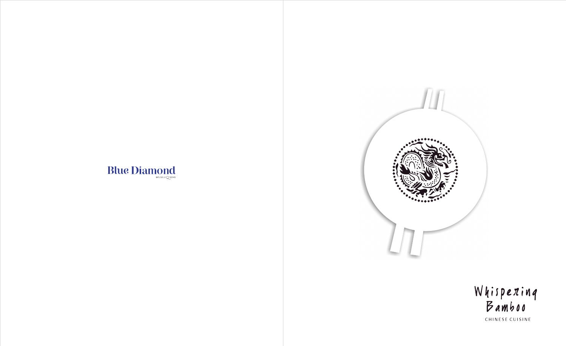## **Blue Diamond**



# Whispexinq<br>Bamboo

CHINESE CUISINE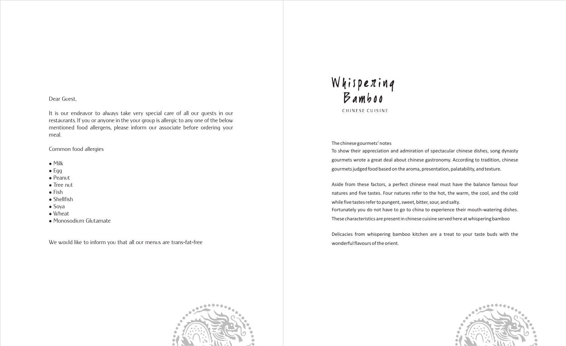#### Dear Guest,

It is our endeavor to always take very special care of all our guests in our restaurants. If you or anyone in the your group is allergic to any one of the below mentioned food allergens, please inform our associate before ordering your meal.

Common food allergies

- $\bullet$  Milk
- $\bullet$  Egg
- Peanut
- Tree nut
- $\bullet$  Fish
- Shellfish
- Soya
- Wheat
- Monosodium Glutamate

We would like to inform you that all our menus are trans-fat-free



# Whispexinq<br>Bamboo CHINESE CUISINE

The chinese gourmets' notes To show their appreciation and admiration of spectacular chinese dishes, song dynasty gourmets wrote a great deal about chinese gastronomy. According to tradition, chinese gourmets judged food based on the aroma, presentation, palatability, and texture.

Aside from these factors, a perfect chinese meal must have the balance famous four natures and five tastes. Four natures refer to the hot, the warm, the cool, and the cold while five tastes refer to pungent, sweet, bitter, sour, and salty.

Fortunately you do not have to go to china to experience their mouth-watering dishes. These characteristics are present in chinese cuisine served here at whispering bamboo



Delicacies from whispering bamboo kitchen are a treat to your taste buds with the wonderful flavours of the orient.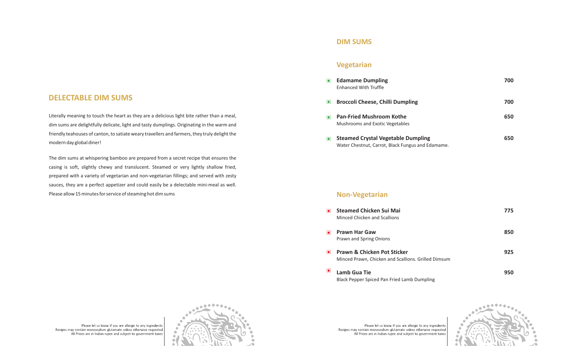#### **Vegetarian**

#### **Non-Vegetarian**

- **Edamame Dumpling** Enhanced With Truffle
- $\bullet$ **Broccoli Cheese, Chilli**
- $\bullet$ **Pan-Fried Mushroom K** Mushrooms and Exotic Veg
- **Steamed Crystal Veget**  $\bullet$ Water Chestnut, Carrot, Black Fungus and Edamame.

- **Steamed Chicken Sui M**  $\bullet$ **Minced Chicken and Scallio**
- **Prawn Har Gaw**  $\boxed{\bullet}$ Prawn and Spring Onions
- $\bullet$ **Prawn & Chicken Pot St** Minced Prawn, Chicken and
- $\bullet$ **Lamb Gua Tie** Black Pepper Spiced Pan Fried Lamb Dumpling

Please let us know if you are allergic to any ingredients Recipes may contain monosodium glutamate unless otherwise requested All Prices are in Indian rupee and subject to government taxes

Literally meaning to touch the heart as they are a delicious light bite rather than a meal, dim sums are delightfully delicate, light and tasty dumplings. Originating in the warm and friendly teahouses of canton, to satiate weary travellers and farmers, they truly delight the modern day global diner!

The dim sums at whispering bamboo are prepared from a secret recipe that ensures the casing is soft, slightly chewy and translucent. Steamed or very lightly shallow fried, prepared with a variety of vegetarian and non-vegetarian fillings; and served with zesty sauces, they are a perfect appetizer and could easily be a delectable mini-meal as well. Please allow 15 minutes for service of steaming hot dim sums

Please let us know if you are allergic to any ingredients Recipes may contain monosodium glutamate unless otherwise requested All Prices are in Indian rupee and subject to government taxes



|                                         | 700 |
|-----------------------------------------|-----|
| <b>Dumpling</b>                         | 700 |
| <b>Kothe</b><br><b>zetables</b>         | 650 |
| able Dumpling<br>ack Fungus and Edamame | 650 |

| <b>Aai</b><br>ns                      | 775 |
|---------------------------------------|-----|
|                                       | 850 |
| ticker<br>d Scallions. Grilled Dimsum | 925 |
|                                       | 950 |



#### **DIM SUMS**

## **DELECTABLE DIM SUMS**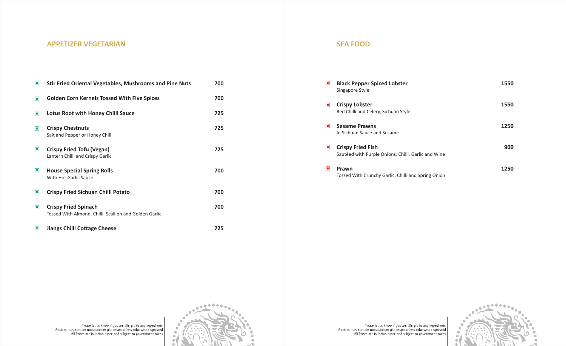#### **SEA FOOD**

- **Black Pepper Spiced Lobster** Singapore Style
- $\bullet$ **Crispy Lobster** Red Chilli and Celery, Sichu
- **ISesame Prawns** In Sichuan Sauce and Sesar
- $\bullet$ Sautéed with Purple Onion
- $\bullet$ Tossed With Crunchy Garlio

Please let us know if you are allergic to any ingredients<br>Recipes may contain monosodium glutamate unless otherwise requested<br>All Prices are in Indian rupee and subject to government taxes



Please let us know if you are allergic to any ingredients<br>Recipes may contain monosodium glutamate unless otherwise requested<br>All Prices are in Indian rupee and subject to government taxes

| <b>Black Pepper Spiced Lobster</b><br>Singapore Style                           | 1550 |
|---------------------------------------------------------------------------------|------|
| <b>Crispy Lobster</b><br>Red Chilli and Celery, Sichuan Style                   | 1550 |
| <b>Sesame Prawns</b><br>In Sichuan Sauce and Sesame                             | 1250 |
| <b>Crispy Fried Fish</b><br>Sautéed with Purple Onions, Chilli, Garlic and Wine | 900  |
| Prawn<br>Tossed With Crunchy Garlic, Chilli and Spring Onion                    | 1250 |

#### **APPETIZER VEGETARIAN**

| $\bullet$      | <b>Stir Fried Oriental Vegetables, Mushrooms and Pine Nuts</b>                        | 700 |
|----------------|---------------------------------------------------------------------------------------|-----|
| $\bullet$      | <b>Golden Corn Kernels Tossed With Five Spices</b>                                    | 700 |
| $\bullet$      | <b>Lotus Root with Honey Chilli Sauce</b>                                             | 725 |
| $\blacksquare$ | <b>Crispy Chestnuts</b><br>Salt and Pepper or Honey Chilli                            | 725 |
| $\bullet$      | <b>Crispy Fried Tofu (Vegan)</b><br>Lantern Chilli and Crispy Garlic                  | 725 |
| $\bullet$      | <b>House Special Spring Rolls</b><br>With Hot Garlic Sauce                            | 700 |
| $\blacksquare$ | <b>Crispy Fried Sichuan Chilli Potato</b>                                             | 700 |
| $\bullet$      | <b>Crispy Fried Spinach</b><br>Tossed With Almond, Chilli, Scallion and Golden Garlic | 700 |
| $\bullet$      | <b>Jiangs Chilli Cottage Cheese</b>                                                   | 725 |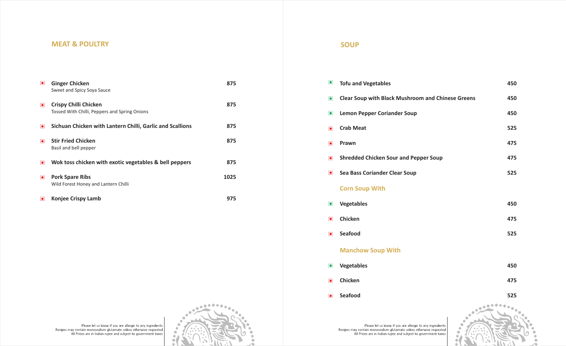#### **MEAT & POULTRY SOUP**

| $\bullet$         | <b>Ginger Chicken</b><br>Sweet and Spicy Soya Sauce                           | 875  |
|-------------------|-------------------------------------------------------------------------------|------|
| $\boxed{\bullet}$ | <b>Crispy Chilli Chicken</b><br>Tossed With Chilli, Peppers and Spring Onions | 875  |
| $\bullet$         | Sichuan Chicken with Lantern Chilli, Garlic and Scallions                     | 875  |
| $\blacksquare$    | <b>Stir Fried Chicken</b><br>Basil and bell pepper                            | 875  |
| $\blacksquare$    | Wok toss chicken with exotic vegetables & bell peppers                        | 875  |
| $\bullet$         | <b>Pork Spare Ribs</b><br>Wild Forest Honey and Lantern Chilli                | 1025 |
| $\bullet$         | <b>Konjee Crispy Lamb</b>                                                     | 975  |

| $\bullet$ | <b>Tofu and Vegetables</b>                               | 450 |
|-----------|----------------------------------------------------------|-----|
| $\bullet$ | <b>Clear Soup with Black Mushroom and Chinese Greens</b> | 450 |
| $\bullet$ | <b>Lemon Pepper Coriander Soup</b>                       | 450 |
| $\bullet$ | <b>Crab Meat</b>                                         | 525 |
| $\bullet$ | Prawn                                                    | 475 |
| $\bullet$ | <b>Shredded Chicken Sour and Pepper Soup</b>             | 475 |
| $\bullet$ | <b>Sea Bass Coriander Clear Soup</b>                     | 525 |
|           | <b>Corn Soup With</b>                                    |     |
| $\bullet$ | <b>Vegetables</b>                                        | 450 |
| $\bullet$ | Chicken                                                  | 475 |
| $\bullet$ | <b>Seafood</b>                                           | 525 |
|           | <b>Manchow Soup With</b>                                 |     |
| $\bullet$ | <b>Vegetables</b>                                        | 450 |
| $\bullet$ | <b>Chicken</b>                                           | 475 |

- 
- $\bullet$
- $\bullet$
- $\bullet$

- $\bullet$
- $\bullet$
- $\bullet$

- $\bullet$
- $\bullet$
- $\bullet$ **Seafood 525**





Please let us know if you are allergic to any ingredients<br>Recipes may contain monosodium glutamate unless otherwise requested<br>All Prices are in Indian rupee and subject to government taxes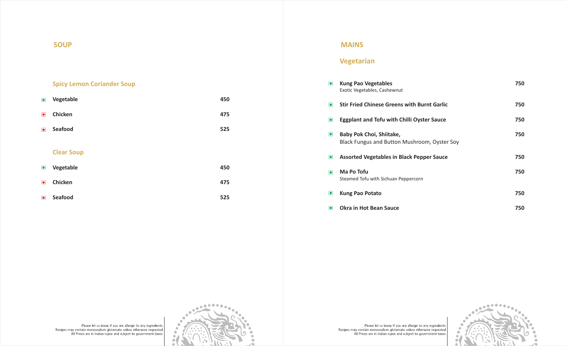#### **SOUP**

### **Spicy Lemon Coriander Soup**

| $\bullet$ | Vegetable         | 450 |
|-----------|-------------------|-----|
| $\bullet$ | <b>Chicken</b>    | 475 |
| $\bullet$ | <b>Seafood</b>    | 525 |
|           |                   |     |
|           | <b>Clear Soup</b> |     |
| $\bullet$ | Vegetable         | 450 |
| $\bullet$ | <b>Chicken</b>    | 475 |
| $\bullet$ | <b>Seafood</b>    | 525 |

#### **Veg e tarian**

## **MAINS**

| $\bullet$      | <b>Kung Pao Vegetables</b><br>Exotic Vegetables, Cashewnut                      | 750 |
|----------------|---------------------------------------------------------------------------------|-----|
| $\bullet$      | <b>Stir Fried Chinese Greens with Burnt Garlic</b>                              | 750 |
| $\bullet$      | <b>Eggplant and Tofu with Chilli Oyster Sauce</b>                               | 750 |
| $\bullet$      | <b>Baby Pok Choi, Shiitake,</b><br>Black Fungus and Button Mushroom, Oyster Soy | 750 |
| $\bullet$      | <b>Assorted Vegetables in Black Pepper Sauce</b>                                | 750 |
| $\bullet$      | Ma Po Tofu<br>Steamed Tofu with Sichuan Peppercorn                              | 750 |
| $\bullet$      | <b>Kung Pao Potato</b>                                                          | 750 |
| $\blacksquare$ | <b>Okra in Hot Bean Sauce</b>                                                   | 750 |



Please let us know if you are allergic to any ingredients<br>Recipes may contain monosodium glutamate unless otherwise requested<br>All Prices are in Indian rupee and subject to government taxes

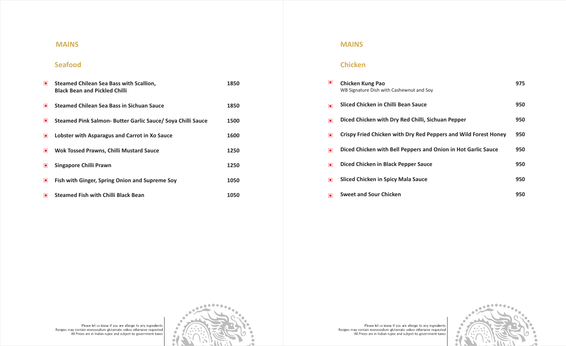## **Seafood**

| $\bullet$      | <b>Steamed Chilean Sea Bass with Scallion,</b><br><b>Black Bean and Pickled Chilli</b> | 1850 |
|----------------|----------------------------------------------------------------------------------------|------|
| $\blacksquare$ | <b>Steamed Chilean Sea Bass in Sichuan Sauce</b>                                       | 1850 |
| $\bullet$      | Steamed Pink Salmon- Butter Garlic Sauce/ Soya Chilli Sauce                            | 1500 |
| $\blacksquare$ | Lobster with Asparagus and Carrot in Xo Sauce                                          | 1600 |
| $\blacksquare$ | <b>Wok Tossed Prawns, Chilli Mustard Sauce</b>                                         | 1250 |
| $\bullet$      | Singapore Chilli Prawn                                                                 | 1250 |
| $\bullet$      | <b>Fish with Ginger, Spring Onion and Supreme Soy</b>                                  | 1050 |
| $\bullet$      | <b>Steamed Fish with Chilli Black Bean</b>                                             | 1050 |

#### **MAINS**

| $\bullet$            | <b>Chicken Kung Pao</b><br>WB Signature Dish with Cashewnut and Soy | 975 |
|----------------------|---------------------------------------------------------------------|-----|
| $\overline{\bullet}$ | Sliced Chicken in Chilli Bean Sauce                                 | 950 |
| $\overline{\bullet}$ | Diced Chicken with Dry Red Chilli, Sichuan Pepper                   | 950 |
| $\blacksquare$       | Crispy Fried Chicken with Dry Red Peppers and Wild Forest Honey     | 950 |
| $\overline{\bullet}$ | Diced Chicken with Bell Peppers and Onion in Hot Garlic Sauce       | 950 |
| $\bullet$            | Diced Chicken in Black Pepper Sauce                                 | 950 |
| $\bullet$            | <b>Sliced Chicken in Spicy Mala Sauce</b>                           | 950 |
| $\blacksquare$       | <b>Sweet and Sour Chicken</b>                                       | 950 |







## **Chicken**

#### **MAINS**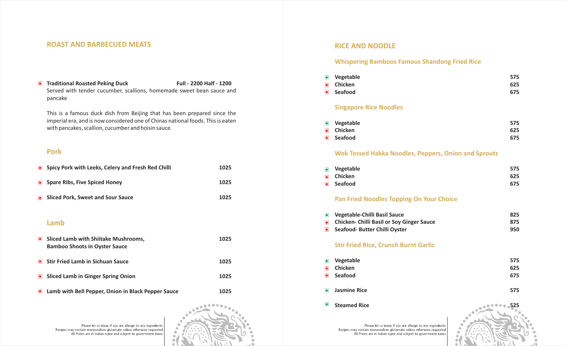#### **ROAST AND BARBECUED MEATS**

#### **Traditional Roasted Peking Duck Full - 2200 Half - 1200** Served with tender cucumber, scallions, homemade sweet bean sauce and pancake

This is a famous duck dish from Beijing that has been prepared since the imperial era, and is now considered one of Chinas national foods. This is eaten with pancakes, scallion, cucumber and hoisin sauce.

- **Vegetable 575**  $\bullet$
- $\overline{\bullet}$
- 

#### **Pan Fried Noodles To**

- *vegetable-Chilli Basil Sand*
- **Chicken- Chilli Basil or**  $\bullet$
- **Seafood- Butter Chilli C**

#### **Stir Fried Rice, Crunt**

- **6** Vegetable
- $\overline{\bullet}$
- 
- 
- 

Please let us know if you are allergic to any ingredients Recipes may contain monosodium glutamate unless otherwise requested All Prices are in Indian rupee and subject to government taxes

Please let us know if you are allergic to any ingredients Recipes may contain monosodium glutamate unless otherwise requested All Prices are in Indian rupee and subject to government taxes

|           | • Spicy Pork with Leeks, Celery and Fresh Red Chilli                           | 1025 |
|-----------|--------------------------------------------------------------------------------|------|
| $\bullet$ | <b>Spare Ribs, Five Spiced Honey</b>                                           | 1025 |
| $\bullet$ | <b>Sliced Pork, Sweet and Sour Sauce</b>                                       | 1025 |
|           |                                                                                |      |
|           | Lamb                                                                           |      |
|           | • Sliced Lamb with Shiitake Mushrooms,<br><b>Bamboo Shoots in Oyster Sauce</b> | 1025 |
| $\bullet$ | <b>Stir Fried Lamb in Sichuan Sauce</b>                                        | 1025 |
| $\bullet$ | <b>Sliced Lamb in Ginger Spring Onion</b>                                      | 1025 |
| $\bullet$ | Lamb with Bell Pepper, Onion in Black Pepper Sauce                             | 1025 |



#### **Pork**

## **RICE AND NOODLE**

#### **Whispering Bamboos Famous Shandong Fried Rice**

- $\bullet$
- 

#### **Singapore Rice Noo**

- **6** Vegetable
- $\overline{\bullet}$
- 

#### **Wok Tossed Hakka N**

| $\bullet$         | Vegetable                                                   | 575 |
|-------------------|-------------------------------------------------------------|-----|
| $\bullet$         | <b>Chicken</b>                                              | 625 |
| $\bullet$         | <b>Seafood</b>                                              | 675 |
|                   | <b>Singapore Rice Noodles</b>                               |     |
| $\bullet$         | Vegetable                                                   | 575 |
| $\bullet$         | <b>Chicken</b>                                              | 625 |
| $\boxed{\bullet}$ | <b>Seafood</b>                                              | 675 |
|                   | <b>Wok Tossed Hakka Noodles, Peppers, Onion and Sprouts</b> |     |
| $\bullet$         | Vegetable                                                   | 575 |
| $\bullet$         | <b>Chicken</b>                                              | 625 |
| $\bullet$         | <b>Seafood</b>                                              | 675 |
|                   | <b>Pan Fried Noodles Topping On Your Choice</b>             |     |
| $\bullet$         | <b>Vegetable-Chilli Basil Sauce</b>                         | 825 |
| $\bullet$         | <b>Chicken- Chilli Basil or Soy Ginger Sauce</b>            | 875 |
| $\bullet$         | Seafood- Butter Chilli Oyster                               | 950 |
|                   | <b>Stir Fried Rice, Crunch Burnt Garlic</b>                 |     |
| $\bullet$         | Vegetable                                                   | 575 |
| $\bullet$         | <b>Chicken</b>                                              | 625 |
| $\bullet$         | <b>Seafood</b>                                              | 675 |
| $\bullet$         | <b>Jasmine Rice</b>                                         | 575 |